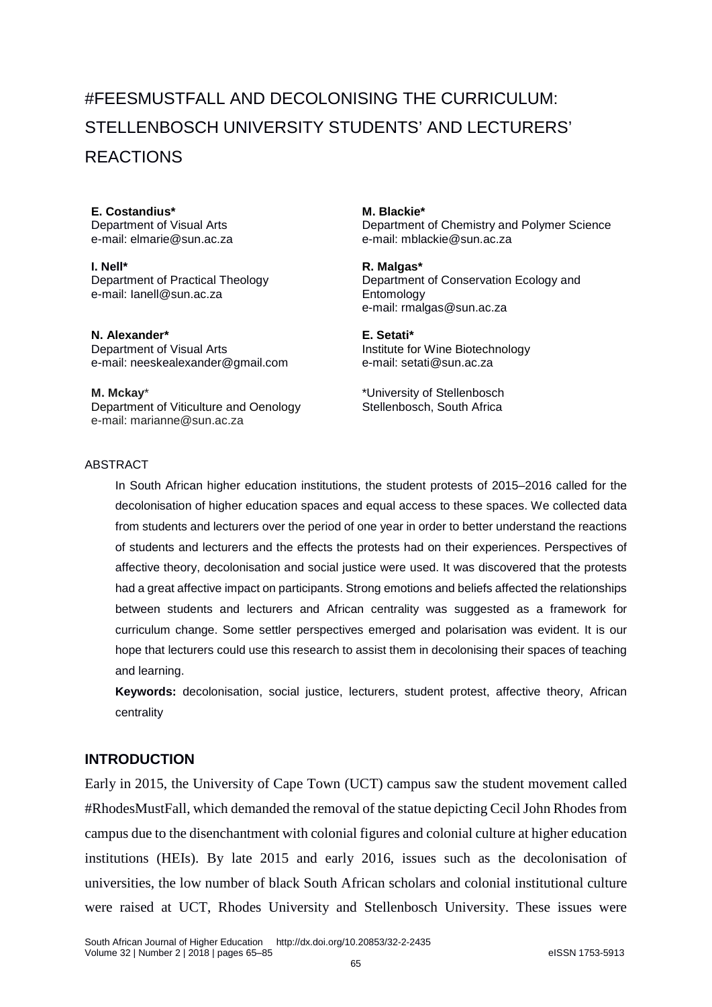# #FEESMUSTFALL AND DECOLONISING THE CURRICULUM: STELLENBOSCH UNIVERSITY STUDENTS' AND LECTURERS' REACTIONS

#### **E. Costandius\***  Department of Visual Arts e-mail: elmarie@sun.ac.za

**I. Nell\*** Department of Practical Theology e-mail: Ianell@sun.ac.za

**N. Alexander\*** Department of Visual Arts e-mail: neeskealexander@gmail.com

**M. Mckay**\* [Department of Viticulture and Oenology](https://www.researchgate.net/institution/Stellenbosch_University/department/Department_of_Viticulture_and_Oenology) e-mail: marianne@sun.ac.za

#### **M. Blackie\***

Department of Chemistry and Polymer Science e-mail: mblackie@sun.ac.za

**R. Malgas\***  Department of Conservation Ecology and Entomology e-mail: rmalgas@sun.ac.za

**E. Setati\*** Institute for Wine Biotechnology e-mail: setati@sun.ac.za

\*University of Stellenbosch Stellenbosch, South Africa

## ABSTRACT

In South African higher education institutions, the student protests of 2015–2016 called for the decolonisation of higher education spaces and equal access to these spaces. We collected data from students and lecturers over the period of one year in order to better understand the reactions of students and lecturers and the effects the protests had on their experiences. Perspectives of affective theory, decolonisation and social justice were used. It was discovered that the protests had a great affective impact on participants. Strong emotions and beliefs affected the relationships between students and lecturers and African centrality was suggested as a framework for curriculum change. Some settler perspectives emerged and polarisation was evident. It is our hope that lecturers could use this research to assist them in decolonising their spaces of teaching and learning.

**Keywords:** decolonisation, social justice, lecturers, student protest, affective theory, African centrality

# **INTRODUCTION**

Early in 2015, the University of Cape Town (UCT) campus saw the student movement called #RhodesMustFall, which demanded the removal of the statue depicting Cecil John Rhodes from campus due to the disenchantment with colonial figures and colonial culture at higher education institutions (HEIs). By late 2015 and early 2016, issues such as the decolonisation of universities, the low number of black South African scholars and colonial institutional culture were raised at UCT, Rhodes University and Stellenbosch University. These issues were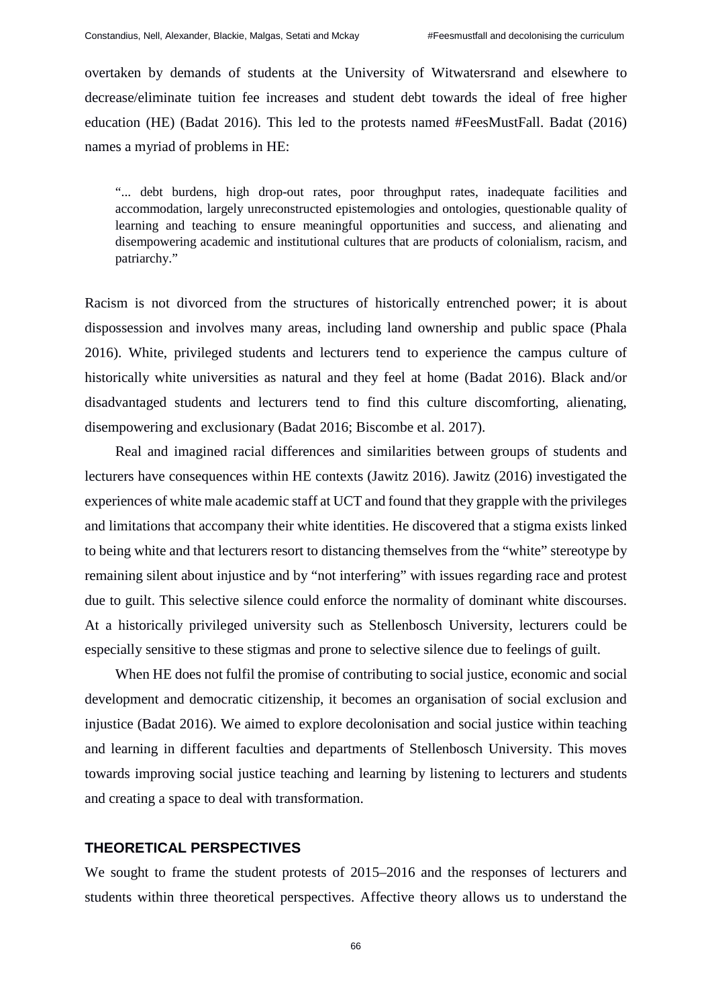overtaken by demands of students at the University of Witwatersrand and elsewhere to decrease/eliminate tuition fee increases and student debt towards the ideal of free higher education (HE) (Badat 2016). This led to the protests named #FeesMustFall. Badat (2016) names a myriad of problems in HE:

"... debt burdens, high drop-out rates, poor throughput rates, inadequate facilities and accommodation, largely unreconstructed epistemologies and ontologies, questionable quality of learning and teaching to ensure meaningful opportunities and success, and alienating and disempowering academic and institutional cultures that are products of colonialism, racism, and patriarchy."

Racism is not divorced from the structures of historically entrenched power; it is about dispossession and involves many areas, including land ownership and public space (Phala 2016). White, privileged students and lecturers tend to experience the campus culture of historically white universities as natural and they feel at home (Badat 2016). Black and/or disadvantaged students and lecturers tend to find this culture discomforting, alienating, disempowering and exclusionary (Badat 2016; Biscombe et al. 2017).

Real and imagined racial differences and similarities between groups of students and lecturers have consequences within HE contexts (Jawitz 2016). Jawitz (2016) investigated the experiences of white male academic staff at UCT and found that they grapple with the privileges and limitations that accompany their white identities. He discovered that a stigma exists linked to being white and that lecturers resort to distancing themselves from the "white" stereotype by remaining silent about injustice and by "not interfering" with issues regarding race and protest due to guilt. This selective silence could enforce the normality of dominant white discourses. At a historically privileged university such as Stellenbosch University, lecturers could be especially sensitive to these stigmas and prone to selective silence due to feelings of guilt.

When HE does not fulfil the promise of contributing to social justice, economic and social development and democratic citizenship, it becomes an organisation of social exclusion and injustice (Badat 2016). We aimed to explore decolonisation and social justice within teaching and learning in different faculties and departments of Stellenbosch University. This moves towards improving social justice teaching and learning by listening to lecturers and students and creating a space to deal with transformation.

## **THEORETICAL PERSPECTIVES**

We sought to frame the student protests of 2015–2016 and the responses of lecturers and students within three theoretical perspectives. Affective theory allows us to understand the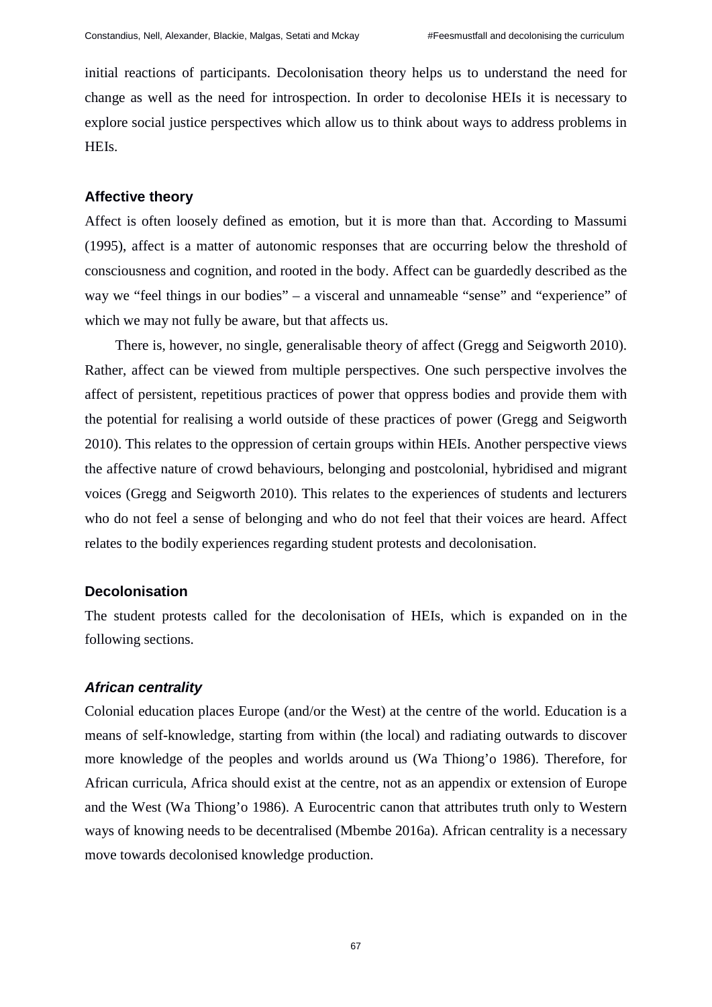initial reactions of participants. Decolonisation theory helps us to understand the need for change as well as the need for introspection. In order to decolonise HEIs it is necessary to explore social justice perspectives which allow us to think about ways to address problems in HEIs.

## **Affective theory**

Affect is often loosely defined as emotion, but it is more than that. According to Massumi (1995), affect is a matter of autonomic responses that are occurring below the threshold of consciousness and cognition, and rooted in the body. Affect can be guardedly described as the way we "feel things in our bodies" – a visceral and unnameable "sense" and "experience" of which we may not fully be aware, but that affects us.

There is, however, no single, generalisable theory of affect (Gregg and Seigworth 2010). Rather, affect can be viewed from multiple perspectives. One such perspective involves the affect of persistent, repetitious practices of power that oppress bodies and provide them with the potential for realising a world outside of these practices of power (Gregg and Seigworth 2010). This relates to the oppression of certain groups within HEIs. Another perspective views the affective nature of crowd behaviours, belonging and postcolonial, hybridised and migrant voices (Gregg and Seigworth 2010). This relates to the experiences of students and lecturers who do not feel a sense of belonging and who do not feel that their voices are heard. Affect relates to the bodily experiences regarding student protests and decolonisation.

#### **Decolonisation**

The student protests called for the decolonisation of HEIs, which is expanded on in the following sections.

## *African centrality*

Colonial education places Europe (and/or the West) at the centre of the world. Education is a means of self-knowledge, starting from within (the local) and radiating outwards to discover more knowledge of the peoples and worlds around us (Wa Thiong'o 1986). Therefore, for African curricula, Africa should exist at the centre, not as an appendix or extension of Europe and the West (Wa Thiong'o 1986). A Eurocentric canon that attributes truth only to Western ways of knowing needs to be decentralised (Mbembe 2016a). African centrality is a necessary move towards decolonised knowledge production.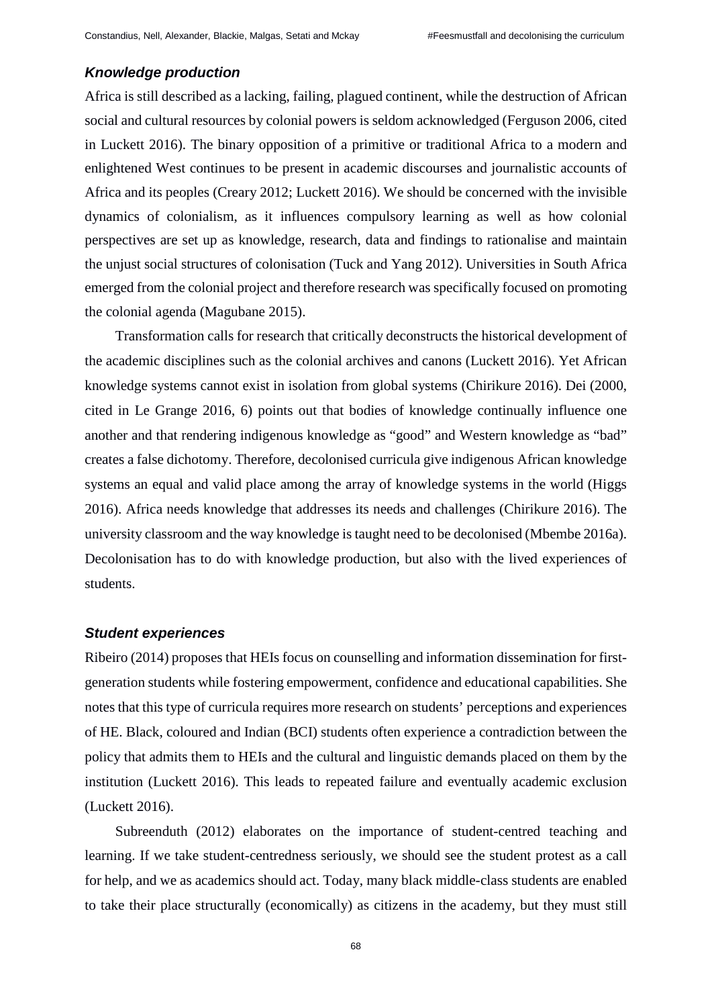## *Knowledge production*

Africa is still described as a lacking, failing, plagued continent, while the destruction of African social and cultural resources by colonial powers is seldom acknowledged (Ferguson 2006, cited in Luckett 2016). The binary opposition of a primitive or traditional Africa to a modern and enlightened West continues to be present in academic discourses and journalistic accounts of Africa and its peoples (Creary 2012; Luckett 2016). We should be concerned with the invisible dynamics of colonialism, as it influences compulsory learning as well as how colonial perspectives are set up as knowledge, research, data and findings to rationalise and maintain the unjust social structures of colonisation (Tuck and Yang 2012). Universities in South Africa emerged from the colonial project and therefore research was specifically focused on promoting the colonial agenda (Magubane 2015).

Transformation calls for research that critically deconstructs the historical development of the academic disciplines such as the colonial archives and canons (Luckett 2016). Yet African knowledge systems cannot exist in isolation from global systems (Chirikure 2016). Dei (2000, cited in Le Grange 2016, 6) points out that bodies of knowledge continually influence one another and that rendering indigenous knowledge as "good" and Western knowledge as "bad" creates a false dichotomy. Therefore, decolonised curricula give indigenous African knowledge systems an equal and valid place among the array of knowledge systems in the world (Higgs 2016). Africa needs knowledge that addresses its needs and challenges (Chirikure 2016). The university classroom and the way knowledge is taught need to be decolonised (Mbembe 2016a). Decolonisation has to do with knowledge production, but also with the lived experiences of students.

#### *Student experiences*

Ribeiro (2014) proposes that HEIs focus on counselling and information dissemination for firstgeneration students while fostering empowerment, confidence and educational capabilities. She notes that this type of curricula requires more research on students' perceptions and experiences of HE. Black, coloured and Indian (BCI) students often experience a contradiction between the policy that admits them to HEIs and the cultural and linguistic demands placed on them by the institution (Luckett 2016). This leads to repeated failure and eventually academic exclusion (Luckett 2016).

Subreenduth (2012) elaborates on the importance of student-centred teaching and learning. If we take student-centredness seriously, we should see the student protest as a call for help, and we as academics should act. Today, many black middle-class students are enabled to take their place structurally (economically) as citizens in the academy, but they must still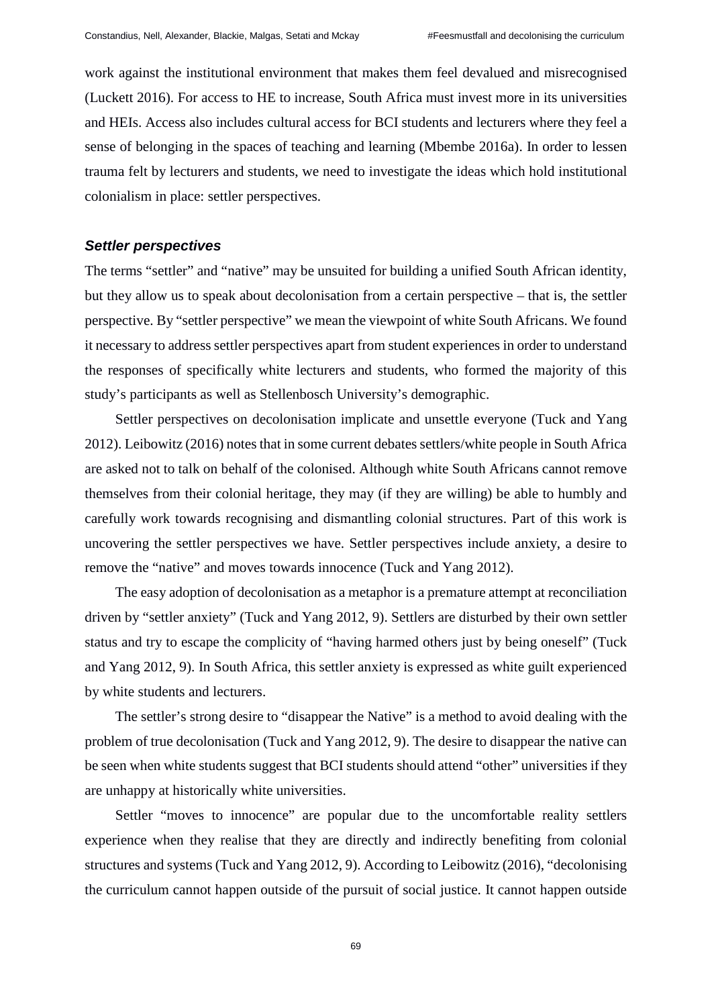work against the institutional environment that makes them feel devalued and misrecognised (Luckett 2016). For access to HE to increase, South Africa must invest more in its universities and HEIs. Access also includes cultural access for BCI students and lecturers where they feel a sense of belonging in the spaces of teaching and learning (Mbembe 2016a). In order to lessen trauma felt by lecturers and students, we need to investigate the ideas which hold institutional colonialism in place: settler perspectives.

#### *Settler perspectives*

The terms "settler" and "native" may be unsuited for building a unified South African identity, but they allow us to speak about decolonisation from a certain perspective – that is, the settler perspective. By "settler perspective" we mean the viewpoint of white South Africans. We found it necessary to address settler perspectives apart from student experiences in order to understand the responses of specifically white lecturers and students, who formed the majority of this study's participants as well as Stellenbosch University's demographic.

Settler perspectives on decolonisation implicate and unsettle everyone (Tuck and Yang 2012). Leibowitz (2016) notes that in some current debates settlers/white people in South Africa are asked not to talk on behalf of the colonised. Although white South Africans cannot remove themselves from their colonial heritage, they may (if they are willing) be able to humbly and carefully work towards recognising and dismantling colonial structures. Part of this work is uncovering the settler perspectives we have. Settler perspectives include anxiety, a desire to remove the "native" and moves towards innocence (Tuck and Yang 2012).

The easy adoption of decolonisation as a metaphor is a premature attempt at reconciliation driven by "settler anxiety" (Tuck and Yang 2012, 9). Settlers are disturbed by their own settler status and try to escape the complicity of "having harmed others just by being oneself" (Tuck and Yang 2012, 9). In South Africa, this settler anxiety is expressed as white guilt experienced by white students and lecturers.

The settler's strong desire to "disappear the Native" is a method to avoid dealing with the problem of true decolonisation (Tuck and Yang 2012, 9). The desire to disappear the native can be seen when white students suggest that BCI students should attend "other" universities if they are unhappy at historically white universities.

Settler "moves to innocence" are popular due to the uncomfortable reality settlers experience when they realise that they are directly and indirectly benefiting from colonial structures and systems (Tuck and Yang 2012, 9). According to Leibowitz (2016), "decolonising the curriculum cannot happen outside of the pursuit of social justice. It cannot happen outside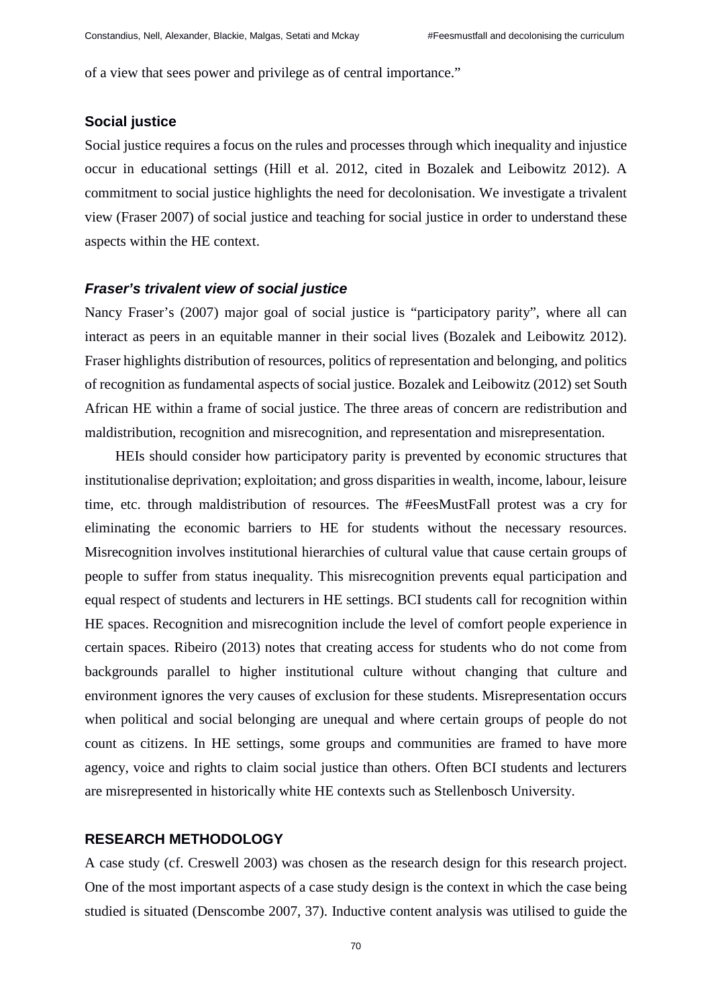of a view that sees power and privilege as of central importance."

#### **Social justice**

Social justice requires a focus on the rules and processes through which inequality and injustice occur in educational settings (Hill et al. 2012, cited in Bozalek and Leibowitz 2012). A commitment to social justice highlights the need for decolonisation. We investigate a trivalent view (Fraser 2007) of social justice and teaching for social justice in order to understand these aspects within the HE context.

#### *Fraser's trivalent view of social justice*

Nancy Fraser's (2007) major goal of social justice is "participatory parity", where all can interact as peers in an equitable manner in their social lives (Bozalek and Leibowitz 2012). Fraser highlights distribution of resources, politics of representation and belonging, and politics of recognition as fundamental aspects of social justice. Bozalek and Leibowitz (2012) set South African HE within a frame of social justice. The three areas of concern are redistribution and maldistribution, recognition and misrecognition, and representation and misrepresentation.

HEIs should consider how participatory parity is prevented by economic structures that institutionalise deprivation; exploitation; and gross disparities in wealth, income, labour, leisure time, etc. through maldistribution of resources. The #FeesMustFall protest was a cry for eliminating the economic barriers to HE for students without the necessary resources. Misrecognition involves institutional hierarchies of cultural value that cause certain groups of people to suffer from status inequality. This misrecognition prevents equal participation and equal respect of students and lecturers in HE settings. BCI students call for recognition within HE spaces. Recognition and misrecognition include the level of comfort people experience in certain spaces. Ribeiro (2013) notes that creating access for students who do not come from backgrounds parallel to higher institutional culture without changing that culture and environment ignores the very causes of exclusion for these students. Misrepresentation occurs when political and social belonging are unequal and where certain groups of people do not count as citizens. In HE settings, some groups and communities are framed to have more agency, voice and rights to claim social justice than others. Often BCI students and lecturers are misrepresented in historically white HE contexts such as Stellenbosch University.

#### **RESEARCH METHODOLOGY**

A case study (cf. Creswell 2003) was chosen as the research design for this research project. One of the most important aspects of a case study design is the context in which the case being studied is situated (Denscombe 2007, 37). Inductive content analysis was utilised to guide the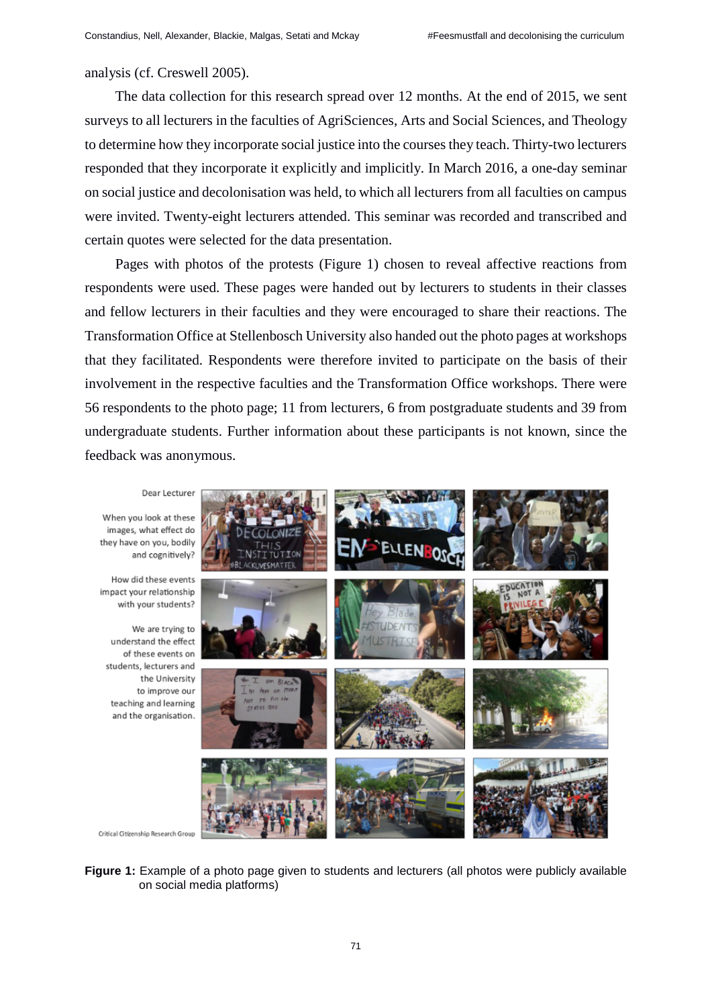#### analysis (cf. Creswell 2005).

The data collection for this research spread over 12 months. At the end of 2015, we sent surveys to all lecturers in the faculties of AgriSciences, Arts and Social Sciences, and Theology to determine how they incorporate social justice into the courses they teach. Thirty-two lecturers responded that they incorporate it explicitly and implicitly. In March 2016, a one-day seminar on social justice and decolonisation was held, to which all lecturers from all faculties on campus were invited. Twenty-eight lecturers attended. This seminar was recorded and transcribed and certain quotes were selected for the data presentation.

Pages with photos of the protests (Figure 1) chosen to reveal affective reactions from respondents were used. These pages were handed out by lecturers to students in their classes and fellow lecturers in their faculties and they were encouraged to share their reactions. The Transformation Office at Stellenbosch University also handed out the photo pages at workshops that they facilitated. Respondents were therefore invited to participate on the basis of their involvement in the respective faculties and the Transformation Office workshops. There were 56 respondents to the photo page; 11 from lecturers, 6 from postgraduate students and 39 from undergraduate students. Further information about these participants is not known, since the feedback was anonymous.



Critical Citizenship Research Group

**Figure 1:** Example of a photo page given to students and lecturers (all photos were publicly available on social media platforms)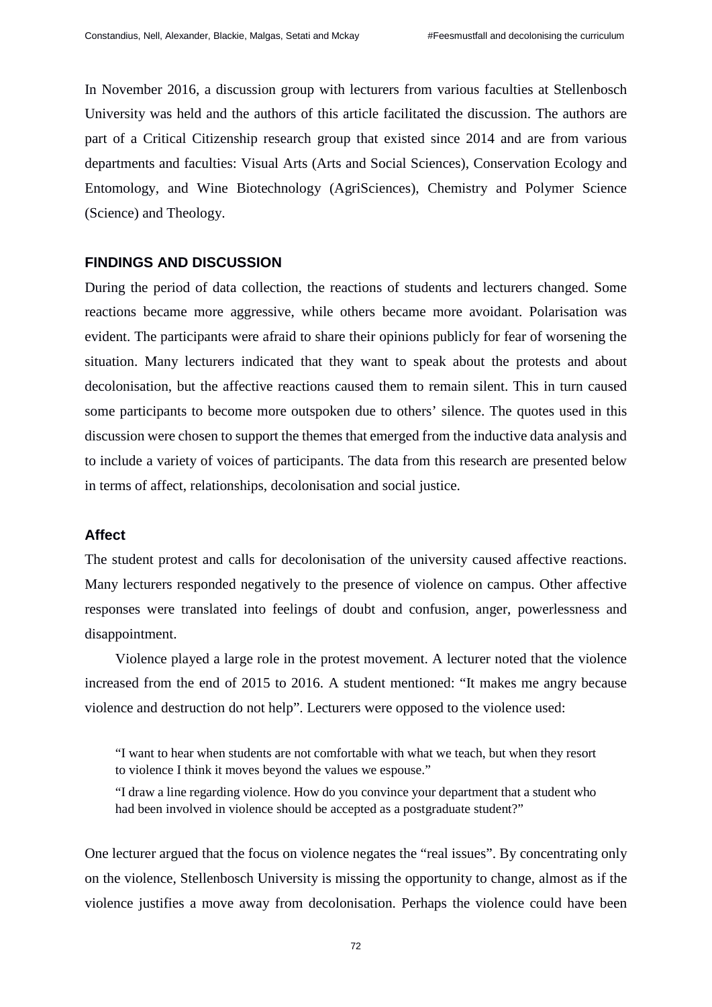In November 2016, a discussion group with lecturers from various faculties at Stellenbosch University was held and the authors of this article facilitated the discussion. The authors are part of a Critical Citizenship research group that existed since 2014 and are from various departments and faculties: Visual Arts (Arts and Social Sciences), Conservation Ecology and Entomology, and Wine Biotechnology (AgriSciences), Chemistry and Polymer Science (Science) and Theology.

#### **FINDINGS AND DISCUSSION**

During the period of data collection, the reactions of students and lecturers changed. Some reactions became more aggressive, while others became more avoidant. Polarisation was evident. The participants were afraid to share their opinions publicly for fear of worsening the situation. Many lecturers indicated that they want to speak about the protests and about decolonisation, but the affective reactions caused them to remain silent. This in turn caused some participants to become more outspoken due to others' silence. The quotes used in this discussion were chosen to support the themes that emerged from the inductive data analysis and to include a variety of voices of participants. The data from this research are presented below in terms of affect, relationships, decolonisation and social justice.

## **Affect**

The student protest and calls for decolonisation of the university caused affective reactions. Many lecturers responded negatively to the presence of violence on campus. Other affective responses were translated into feelings of doubt and confusion, anger, powerlessness and disappointment.

Violence played a large role in the protest movement. A lecturer noted that the violence increased from the end of 2015 to 2016. A student mentioned: "It makes me angry because violence and destruction do not help". Lecturers were opposed to the violence used:

"I want to hear when students are not comfortable with what we teach, but when they resort to violence I think it moves beyond the values we espouse."

"I draw a line regarding violence. How do you convince your department that a student who had been involved in violence should be accepted as a postgraduate student?"

One lecturer argued that the focus on violence negates the "real issues". By concentrating only on the violence, Stellenbosch University is missing the opportunity to change, almost as if the violence justifies a move away from decolonisation. Perhaps the violence could have been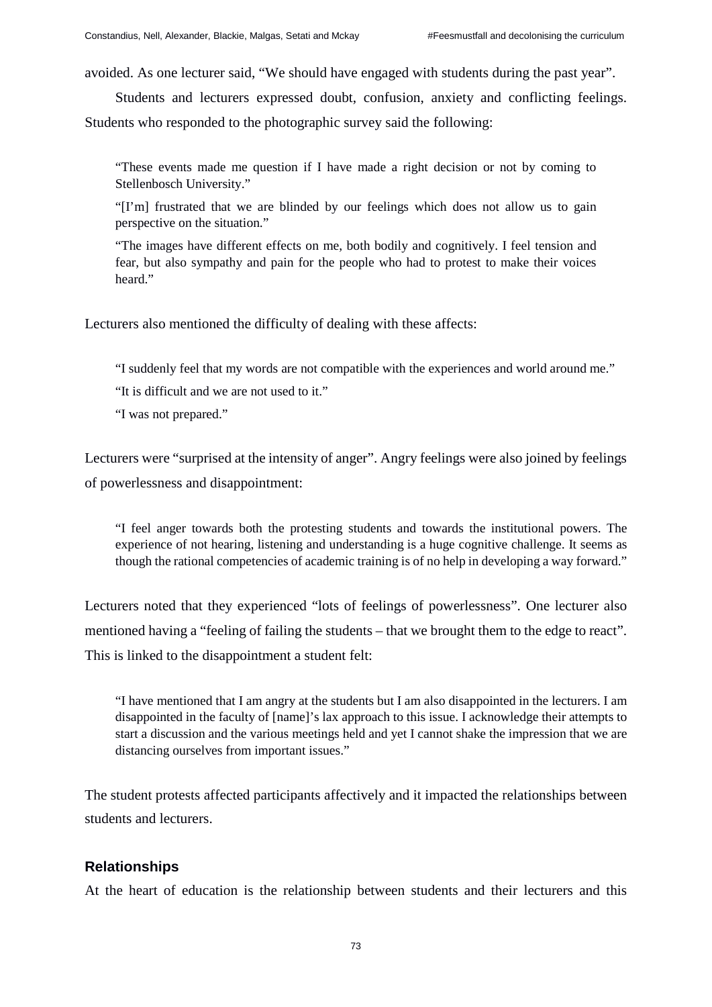avoided. As one lecturer said, "We should have engaged with students during the past year".

Students and lecturers expressed doubt, confusion, anxiety and conflicting feelings. Students who responded to the photographic survey said the following:

"These events made me question if I have made a right decision or not by coming to Stellenbosch University."

"[I'm] frustrated that we are blinded by our feelings which does not allow us to gain perspective on the situation."

"The images have different effects on me, both bodily and cognitively. I feel tension and fear, but also sympathy and pain for the people who had to protest to make their voices heard."

Lecturers also mentioned the difficulty of dealing with these affects:

"I suddenly feel that my words are not compatible with the experiences and world around me."

"It is difficult and we are not used to it."

"I was not prepared."

Lecturers were "surprised at the intensity of anger". Angry feelings were also joined by feelings of powerlessness and disappointment:

"I feel anger towards both the protesting students and towards the institutional powers. The experience of not hearing, listening and understanding is a huge cognitive challenge. It seems as though the rational competencies of academic training is of no help in developing a way forward."

Lecturers noted that they experienced "lots of feelings of powerlessness". One lecturer also mentioned having a "feeling of failing the students – that we brought them to the edge to react". This is linked to the disappointment a student felt:

"I have mentioned that I am angry at the students but I am also disappointed in the lecturers. I am disappointed in the faculty of [name]'s lax approach to this issue. I acknowledge their attempts to start a discussion and the various meetings held and yet I cannot shake the impression that we are distancing ourselves from important issues."

The student protests affected participants affectively and it impacted the relationships between students and lecturers.

# **Relationships**

At the heart of education is the relationship between students and their lecturers and this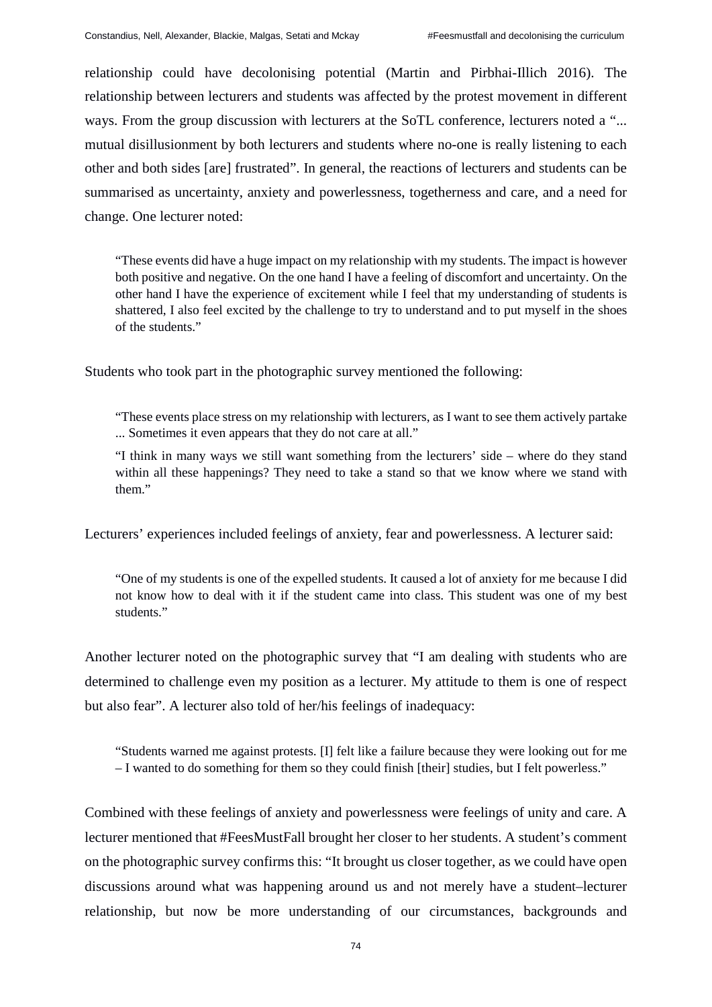relationship could have decolonising potential (Martin and Pirbhai-Illich 2016). The relationship between lecturers and students was affected by the protest movement in different ways. From the group discussion with lecturers at the SoTL conference, lecturers noted a "... mutual disillusionment by both lecturers and students where no-one is really listening to each other and both sides [are] frustrated". In general, the reactions of lecturers and students can be summarised as uncertainty, anxiety and powerlessness, togetherness and care, and a need for change. One lecturer noted:

"These events did have a huge impact on my relationship with my students. The impact is however both positive and negative. On the one hand I have a feeling of discomfort and uncertainty. On the other hand I have the experience of excitement while I feel that my understanding of students is shattered, I also feel excited by the challenge to try to understand and to put myself in the shoes of the students."

Students who took part in the photographic survey mentioned the following:

"These events place stress on my relationship with lecturers, as I want to see them actively partake ... Sometimes it even appears that they do not care at all."

"I think in many ways we still want something from the lecturers' side – where do they stand within all these happenings? They need to take a stand so that we know where we stand with them."

Lecturers' experiences included feelings of anxiety, fear and powerlessness. A lecturer said:

"One of my students is one of the expelled students. It caused a lot of anxiety for me because I did not know how to deal with it if the student came into class. This student was one of my best students"

Another lecturer noted on the photographic survey that "I am dealing with students who are determined to challenge even my position as a lecturer. My attitude to them is one of respect but also fear". A lecturer also told of her/his feelings of inadequacy:

"Students warned me against protests. [I] felt like a failure because they were looking out for me – I wanted to do something for them so they could finish [their] studies, but I felt powerless."

Combined with these feelings of anxiety and powerlessness were feelings of unity and care. A lecturer mentioned that #FeesMustFall brought her closer to her students. A student's comment on the photographic survey confirms this: "It brought us closer together, as we could have open discussions around what was happening around us and not merely have a student–lecturer relationship, but now be more understanding of our circumstances, backgrounds and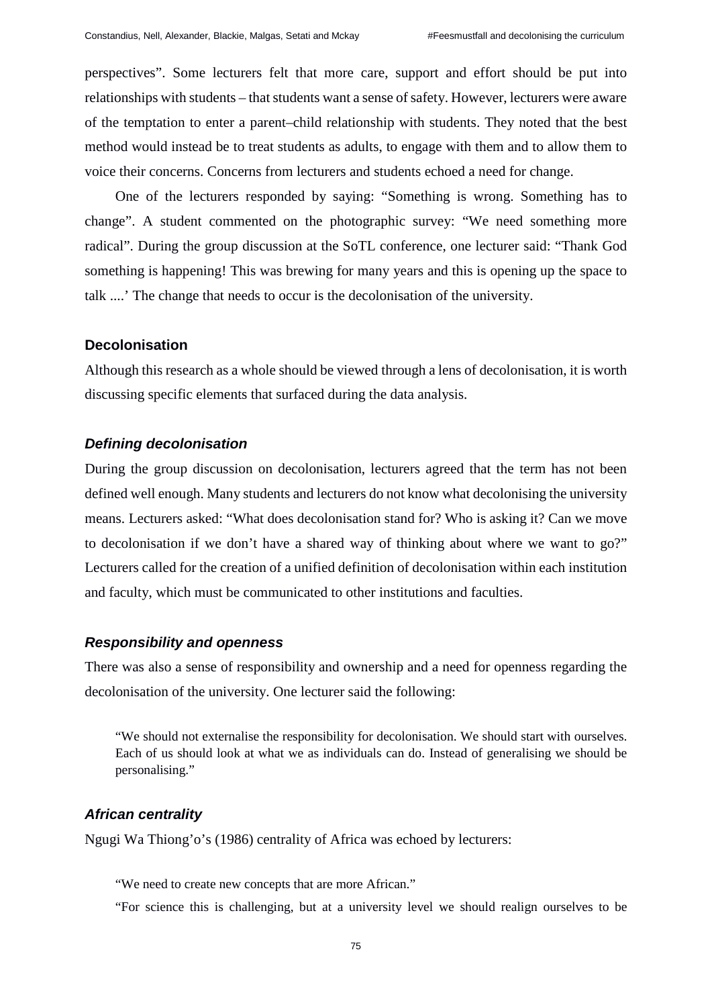perspectives". Some lecturers felt that more care, support and effort should be put into relationships with students – that students want a sense of safety. However, lecturers were aware of the temptation to enter a parent–child relationship with students. They noted that the best method would instead be to treat students as adults, to engage with them and to allow them to voice their concerns. Concerns from lecturers and students echoed a need for change.

One of the lecturers responded by saying: "Something is wrong. Something has to change". A student commented on the photographic survey: "We need something more radical". During the group discussion at the SoTL conference, one lecturer said: "Thank God something is happening! This was brewing for many years and this is opening up the space to talk ....' The change that needs to occur is the decolonisation of the university.

#### **Decolonisation**

Although this research as a whole should be viewed through a lens of decolonisation, it is worth discussing specific elements that surfaced during the data analysis.

## *Defining decolonisation*

During the group discussion on decolonisation, lecturers agreed that the term has not been defined well enough. Many students and lecturers do not know what decolonising the university means. Lecturers asked: "What does decolonisation stand for? Who is asking it? Can we move to decolonisation if we don't have a shared way of thinking about where we want to go?" Lecturers called for the creation of a unified definition of decolonisation within each institution and faculty, which must be communicated to other institutions and faculties.

## *Responsibility and openness*

There was also a sense of responsibility and ownership and a need for openness regarding the decolonisation of the university. One lecturer said the following:

"We should not externalise the responsibility for decolonisation. We should start with ourselves. Each of us should look at what we as individuals can do. Instead of generalising we should be personalising."

#### *African centrality*

Ngugi Wa Thiong'o's (1986) centrality of Africa was echoed by lecturers:

"We need to create new concepts that are more African."

"For science this is challenging, but at a university level we should realign ourselves to be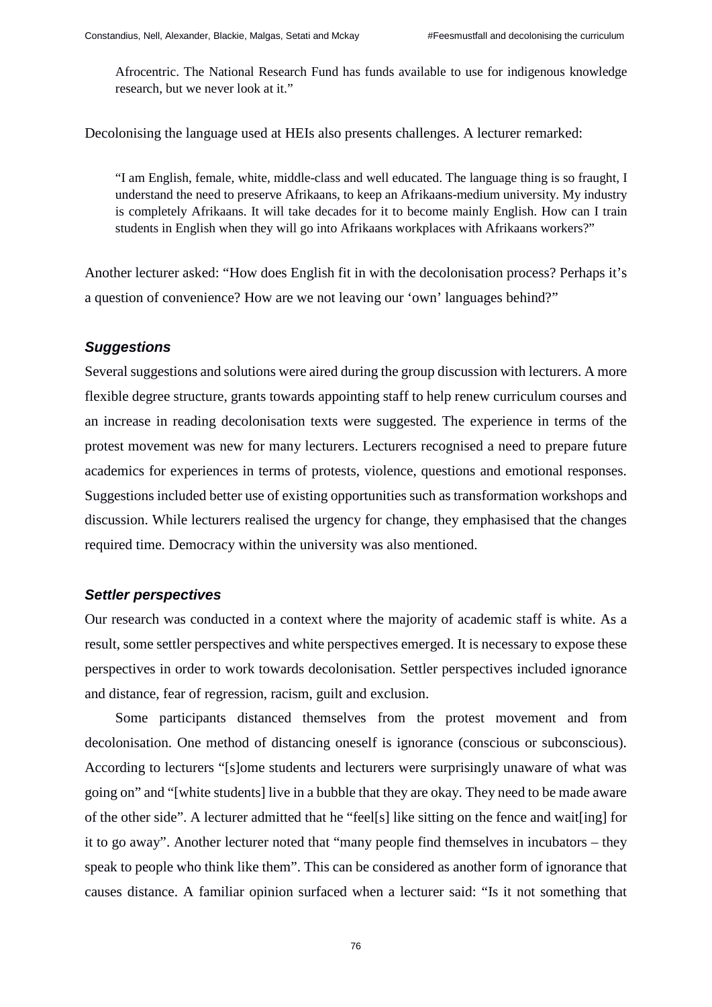Afrocentric. The National Research Fund has funds available to use for indigenous knowledge research, but we never look at it."

Decolonising the language used at HEIs also presents challenges. A lecturer remarked:

"I am English, female, white, middle-class and well educated. The language thing is so fraught, I understand the need to preserve Afrikaans, to keep an Afrikaans-medium university. My industry is completely Afrikaans. It will take decades for it to become mainly English. How can I train students in English when they will go into Afrikaans workplaces with Afrikaans workers?"

Another lecturer asked: "How does English fit in with the decolonisation process? Perhaps it's a question of convenience? How are we not leaving our 'own' languages behind?"

## *Suggestions*

Several suggestions and solutions were aired during the group discussion with lecturers. A more flexible degree structure, grants towards appointing staff to help renew curriculum courses and an increase in reading decolonisation texts were suggested. The experience in terms of the protest movement was new for many lecturers. Lecturers recognised a need to prepare future academics for experiences in terms of protests, violence, questions and emotional responses. Suggestions included better use of existing opportunities such as transformation workshops and discussion. While lecturers realised the urgency for change, they emphasised that the changes required time. Democracy within the university was also mentioned.

## *Settler perspectives*

Our research was conducted in a context where the majority of academic staff is white. As a result, some settler perspectives and white perspectives emerged. It is necessary to expose these perspectives in order to work towards decolonisation. Settler perspectives included ignorance and distance, fear of regression, racism, guilt and exclusion.

Some participants distanced themselves from the protest movement and from decolonisation. One method of distancing oneself is ignorance (conscious or subconscious). According to lecturers "[s]ome students and lecturers were surprisingly unaware of what was going on" and "[white students] live in a bubble that they are okay. They need to be made aware of the other side". A lecturer admitted that he "feel[s] like sitting on the fence and wait[ing] for it to go away". Another lecturer noted that "many people find themselves in incubators – they speak to people who think like them". This can be considered as another form of ignorance that causes distance. A familiar opinion surfaced when a lecturer said: "Is it not something that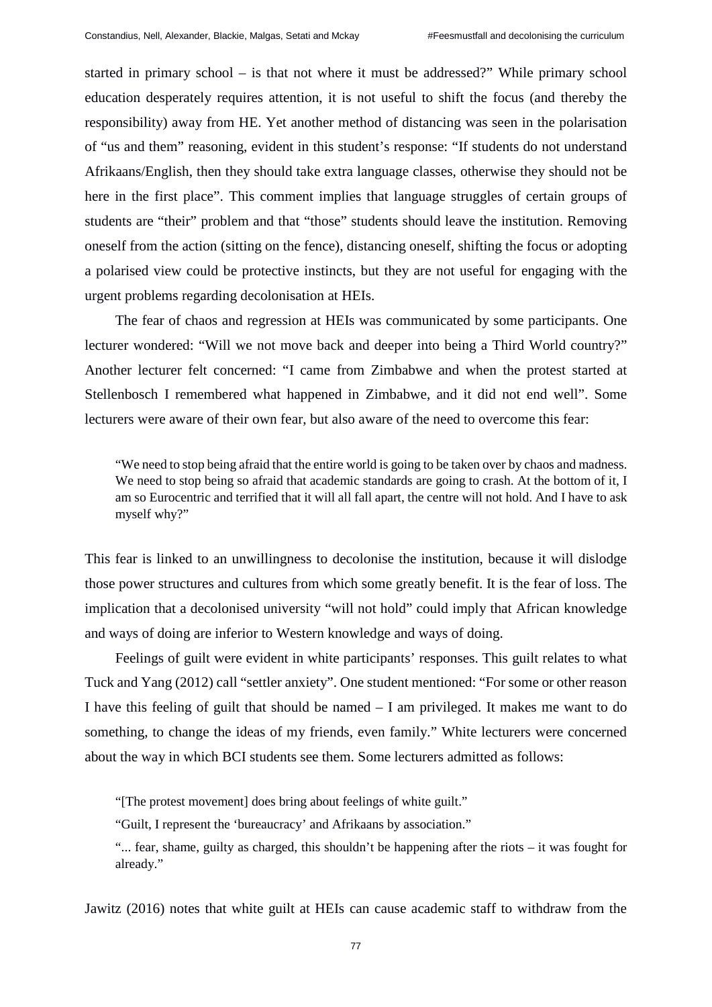started in primary school – is that not where it must be addressed?" While primary school education desperately requires attention, it is not useful to shift the focus (and thereby the responsibility) away from HE. Yet another method of distancing was seen in the polarisation of "us and them" reasoning, evident in this student's response: "If students do not understand Afrikaans/English, then they should take extra language classes, otherwise they should not be here in the first place". This comment implies that language struggles of certain groups of students are "their" problem and that "those" students should leave the institution. Removing oneself from the action (sitting on the fence), distancing oneself, shifting the focus or adopting a polarised view could be protective instincts, but they are not useful for engaging with the urgent problems regarding decolonisation at HEIs.

The fear of chaos and regression at HEIs was communicated by some participants. One lecturer wondered: "Will we not move back and deeper into being a Third World country?" Another lecturer felt concerned: "I came from Zimbabwe and when the protest started at Stellenbosch I remembered what happened in Zimbabwe, and it did not end well". Some lecturers were aware of their own fear, but also aware of the need to overcome this fear:

"We need to stop being afraid that the entire world is going to be taken over by chaos and madness. We need to stop being so afraid that academic standards are going to crash. At the bottom of it, I am so Eurocentric and terrified that it will all fall apart, the centre will not hold. And I have to ask myself why?"

This fear is linked to an unwillingness to decolonise the institution, because it will dislodge those power structures and cultures from which some greatly benefit. It is the fear of loss. The implication that a decolonised university "will not hold" could imply that African knowledge and ways of doing are inferior to Western knowledge and ways of doing.

Feelings of guilt were evident in white participants' responses. This guilt relates to what Tuck and Yang (2012) call "settler anxiety". One student mentioned: "For some or other reason I have this feeling of guilt that should be named – I am privileged. It makes me want to do something, to change the ideas of my friends, even family." White lecturers were concerned about the way in which BCI students see them. Some lecturers admitted as follows:

"[The protest movement] does bring about feelings of white guilt."

"Guilt, I represent the 'bureaucracy' and Afrikaans by association."

"... fear, shame, guilty as charged, this shouldn't be happening after the riots – it was fought for already."

Jawitz (2016) notes that white guilt at HEIs can cause academic staff to withdraw from the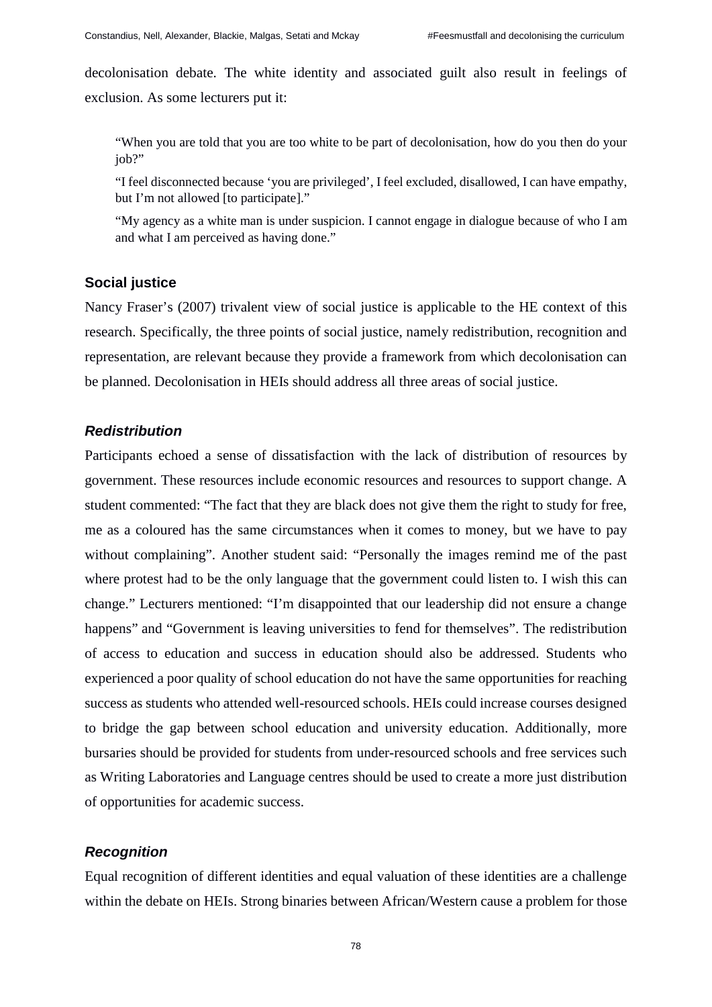decolonisation debate. The white identity and associated guilt also result in feelings of exclusion. As some lecturers put it:

"When you are told that you are too white to be part of decolonisation, how do you then do your job?"

"I feel disconnected because 'you are privileged', I feel excluded, disallowed, I can have empathy, but I'm not allowed [to participate]."

"My agency as a white man is under suspicion. I cannot engage in dialogue because of who I am and what I am perceived as having done."

## **Social justice**

Nancy Fraser's (2007) trivalent view of social justice is applicable to the HE context of this research. Specifically, the three points of social justice, namely redistribution, recognition and representation, are relevant because they provide a framework from which decolonisation can be planned. Decolonisation in HEIs should address all three areas of social justice.

## *Redistribution*

Participants echoed a sense of dissatisfaction with the lack of distribution of resources by government. These resources include economic resources and resources to support change. A student commented: "The fact that they are black does not give them the right to study for free, me as a coloured has the same circumstances when it comes to money, but we have to pay without complaining". Another student said: "Personally the images remind me of the past where protest had to be the only language that the government could listen to. I wish this can change." Lecturers mentioned: "I'm disappointed that our leadership did not ensure a change happens" and "Government is leaving universities to fend for themselves". The redistribution of access to education and success in education should also be addressed. Students who experienced a poor quality of school education do not have the same opportunities for reaching success as students who attended well-resourced schools. HEIs could increase courses designed to bridge the gap between school education and university education. Additionally, more bursaries should be provided for students from under-resourced schools and free services such as Writing Laboratories and Language centres should be used to create a more just distribution of opportunities for academic success.

#### *Recognition*

Equal recognition of different identities and equal valuation of these identities are a challenge within the debate on HEIs. Strong binaries between African/Western cause a problem for those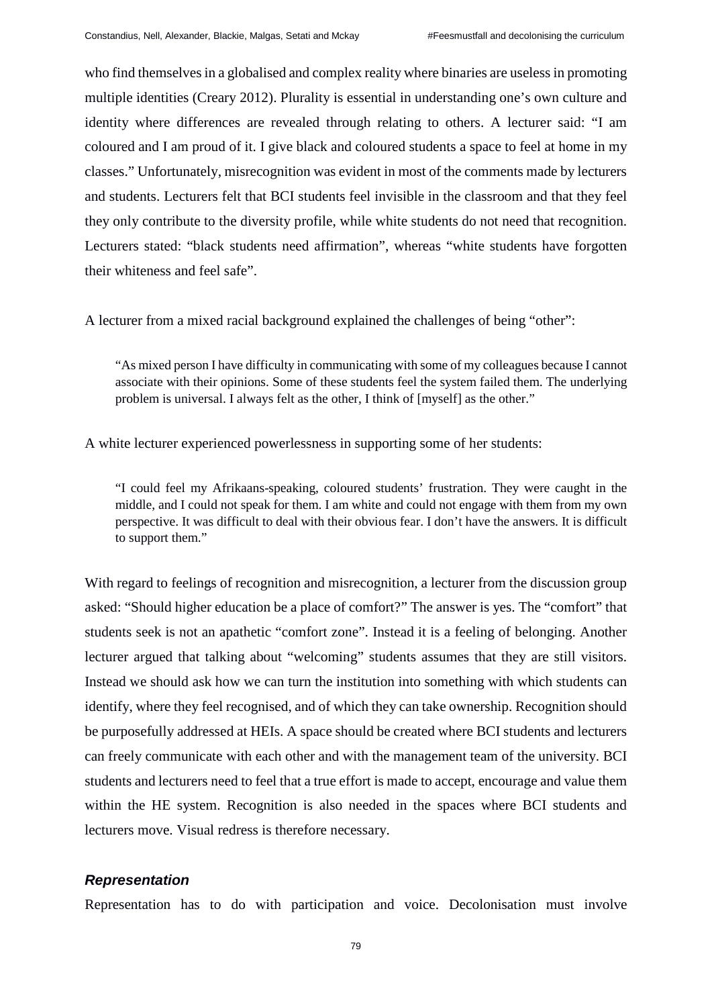who find themselves in a globalised and complex reality where binaries are useless in promoting multiple identities (Creary 2012). Plurality is essential in understanding one's own culture and identity where differences are revealed through relating to others. A lecturer said: "I am coloured and I am proud of it. I give black and coloured students a space to feel at home in my classes." Unfortunately, misrecognition was evident in most of the comments made by lecturers and students. Lecturers felt that BCI students feel invisible in the classroom and that they feel they only contribute to the diversity profile, while white students do not need that recognition. Lecturers stated: "black students need affirmation", whereas "white students have forgotten their whiteness and feel safe".

A lecturer from a mixed racial background explained the challenges of being "other":

"As mixed person I have difficulty in communicating with some of my colleagues because I cannot associate with their opinions. Some of these students feel the system failed them. The underlying problem is universal. I always felt as the other, I think of [myself] as the other."

A white lecturer experienced powerlessness in supporting some of her students:

"I could feel my Afrikaans-speaking, coloured students' frustration. They were caught in the middle, and I could not speak for them. I am white and could not engage with them from my own perspective. It was difficult to deal with their obvious fear. I don't have the answers. It is difficult to support them."

With regard to feelings of recognition and misrecognition, a lecturer from the discussion group asked: "Should higher education be a place of comfort?" The answer is yes. The "comfort" that students seek is not an apathetic "comfort zone". Instead it is a feeling of belonging. Another lecturer argued that talking about "welcoming" students assumes that they are still visitors. Instead we should ask how we can turn the institution into something with which students can identify, where they feel recognised, and of which they can take ownership. Recognition should be purposefully addressed at HEIs. A space should be created where BCI students and lecturers can freely communicate with each other and with the management team of the university. BCI students and lecturers need to feel that a true effort is made to accept, encourage and value them within the HE system. Recognition is also needed in the spaces where BCI students and lecturers move. Visual redress is therefore necessary.

## *Representation*

Representation has to do with participation and voice. Decolonisation must involve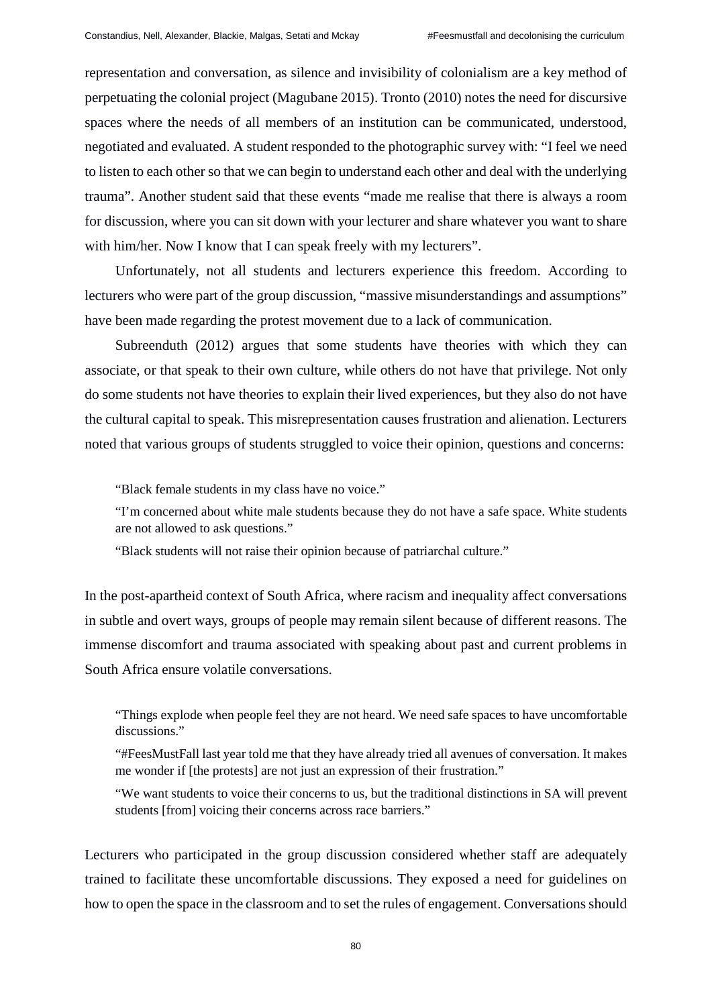representation and conversation, as silence and invisibility of colonialism are a key method of perpetuating the colonial project (Magubane 2015). Tronto (2010) notes the need for discursive spaces where the needs of all members of an institution can be communicated, understood, negotiated and evaluated. A student responded to the photographic survey with: "I feel we need to listen to each other so that we can begin to understand each other and deal with the underlying trauma". Another student said that these events "made me realise that there is always a room for discussion, where you can sit down with your lecturer and share whatever you want to share with him/her. Now I know that I can speak freely with my lecturers".

Unfortunately, not all students and lecturers experience this freedom. According to lecturers who were part of the group discussion, "massive misunderstandings and assumptions" have been made regarding the protest movement due to a lack of communication.

Subreenduth (2012) argues that some students have theories with which they can associate, or that speak to their own culture, while others do not have that privilege. Not only do some students not have theories to explain their lived experiences, but they also do not have the cultural capital to speak. This misrepresentation causes frustration and alienation. Lecturers noted that various groups of students struggled to voice their opinion, questions and concerns:

"Black female students in my class have no voice."

"I'm concerned about white male students because they do not have a safe space. White students are not allowed to ask questions."

"Black students will not raise their opinion because of patriarchal culture."

In the post-apartheid context of South Africa, where racism and inequality affect conversations in subtle and overt ways, groups of people may remain silent because of different reasons. The immense discomfort and trauma associated with speaking about past and current problems in South Africa ensure volatile conversations.

"Things explode when people feel they are not heard. We need safe spaces to have uncomfortable discussions."

"#FeesMustFall last year told me that they have already tried all avenues of conversation. It makes me wonder if [the protests] are not just an expression of their frustration."

"We want students to voice their concerns to us, but the traditional distinctions in SA will prevent students [from] voicing their concerns across race barriers."

Lecturers who participated in the group discussion considered whether staff are adequately trained to facilitate these uncomfortable discussions. They exposed a need for guidelines on how to open the space in the classroom and to set the rules of engagement. Conversations should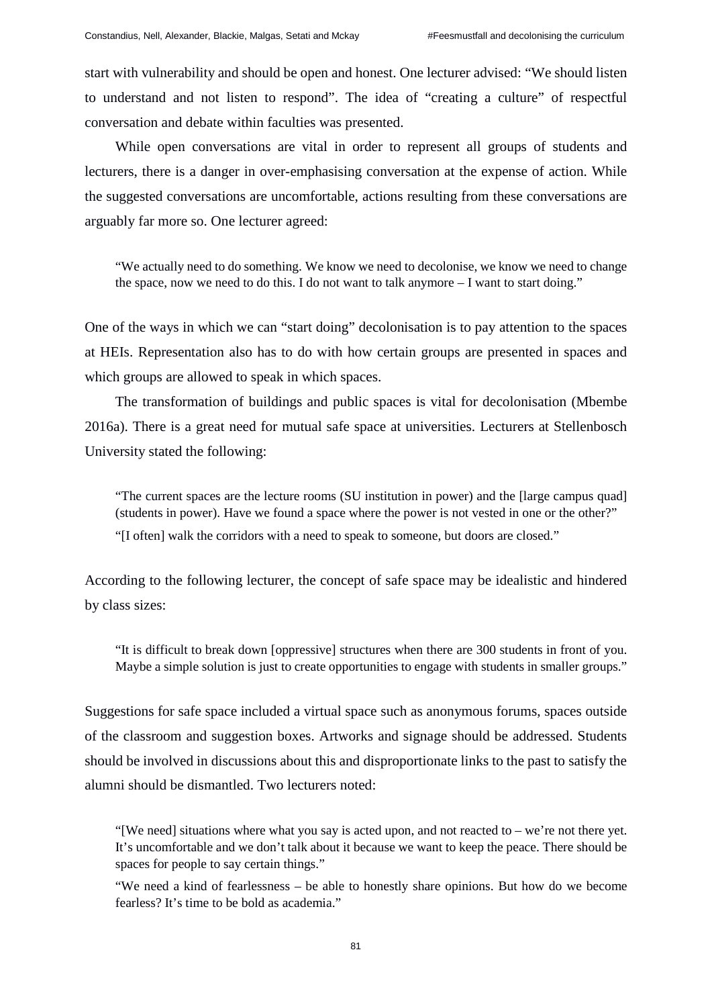start with vulnerability and should be open and honest. One lecturer advised: "We should listen to understand and not listen to respond". The idea of "creating a culture" of respectful conversation and debate within faculties was presented.

While open conversations are vital in order to represent all groups of students and lecturers, there is a danger in over-emphasising conversation at the expense of action. While the suggested conversations are uncomfortable, actions resulting from these conversations are arguably far more so. One lecturer agreed:

"We actually need to do something. We know we need to decolonise, we know we need to change the space, now we need to do this. I do not want to talk anymore – I want to start doing."

One of the ways in which we can "start doing" decolonisation is to pay attention to the spaces at HEIs. Representation also has to do with how certain groups are presented in spaces and which groups are allowed to speak in which spaces.

The transformation of buildings and public spaces is vital for decolonisation (Mbembe 2016a). There is a great need for mutual safe space at universities. Lecturers at Stellenbosch University stated the following:

"The current spaces are the lecture rooms (SU institution in power) and the [large campus quad] (students in power). Have we found a space where the power is not vested in one or the other?" "[I often] walk the corridors with a need to speak to someone, but doors are closed."

According to the following lecturer, the concept of safe space may be idealistic and hindered by class sizes:

"It is difficult to break down [oppressive] structures when there are 300 students in front of you. Maybe a simple solution is just to create opportunities to engage with students in smaller groups."

Suggestions for safe space included a virtual space such as anonymous forums, spaces outside of the classroom and suggestion boxes. Artworks and signage should be addressed. Students should be involved in discussions about this and disproportionate links to the past to satisfy the alumni should be dismantled. Two lecturers noted:

"[We need] situations where what you say is acted upon, and not reacted to – we're not there yet. It's uncomfortable and we don't talk about it because we want to keep the peace. There should be spaces for people to say certain things."

"We need a kind of fearlessness – be able to honestly share opinions. But how do we become fearless? It's time to be bold as academia."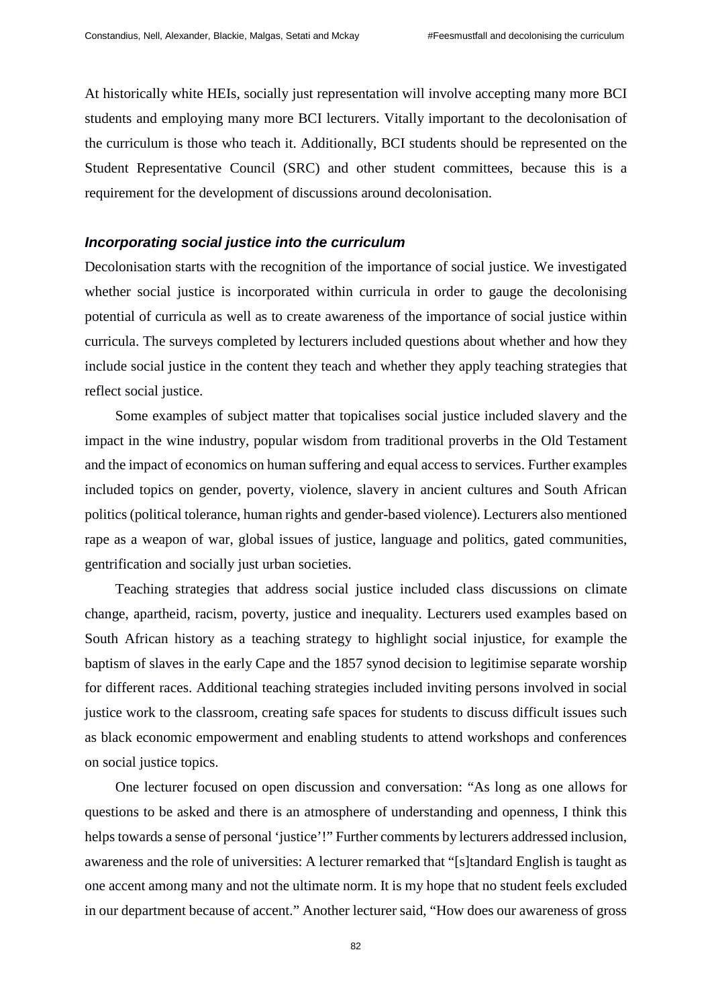At historically white HEIs, socially just representation will involve accepting many more BCI students and employing many more BCI lecturers. Vitally important to the decolonisation of the curriculum is those who teach it. Additionally, BCI students should be represented on the Student Representative Council (SRC) and other student committees, because this is a requirement for the development of discussions around decolonisation.

## *Incorporating social justice into the curriculum*

Decolonisation starts with the recognition of the importance of social justice. We investigated whether social justice is incorporated within curricula in order to gauge the decolonising potential of curricula as well as to create awareness of the importance of social justice within curricula. The surveys completed by lecturers included questions about whether and how they include social justice in the content they teach and whether they apply teaching strategies that reflect social justice.

Some examples of subject matter that topicalises social justice included slavery and the impact in the wine industry, popular wisdom from traditional proverbs in the Old Testament and the impact of economics on human suffering and equal access to services. Further examples included topics on gender, poverty, violence, slavery in ancient cultures and South African politics (political tolerance, human rights and gender-based violence). Lecturers also mentioned rape as a weapon of war, global issues of justice, language and politics, gated communities, gentrification and socially just urban societies.

Teaching strategies that address social justice included class discussions on climate change, apartheid, racism, poverty, justice and inequality. Lecturers used examples based on South African history as a teaching strategy to highlight social injustice, for example the baptism of slaves in the early Cape and the 1857 synod decision to legitimise separate worship for different races. Additional teaching strategies included inviting persons involved in social justice work to the classroom, creating safe spaces for students to discuss difficult issues such as black economic empowerment and enabling students to attend workshops and conferences on social justice topics.

One lecturer focused on open discussion and conversation: "As long as one allows for questions to be asked and there is an atmosphere of understanding and openness, I think this helps towards a sense of personal 'justice'!" Further comments by lecturers addressed inclusion, awareness and the role of universities: A lecturer remarked that "[s]tandard English is taught as one accent among many and not the ultimate norm. It is my hope that no student feels excluded in our department because of accent." Another lecturer said, "How does our awareness of gross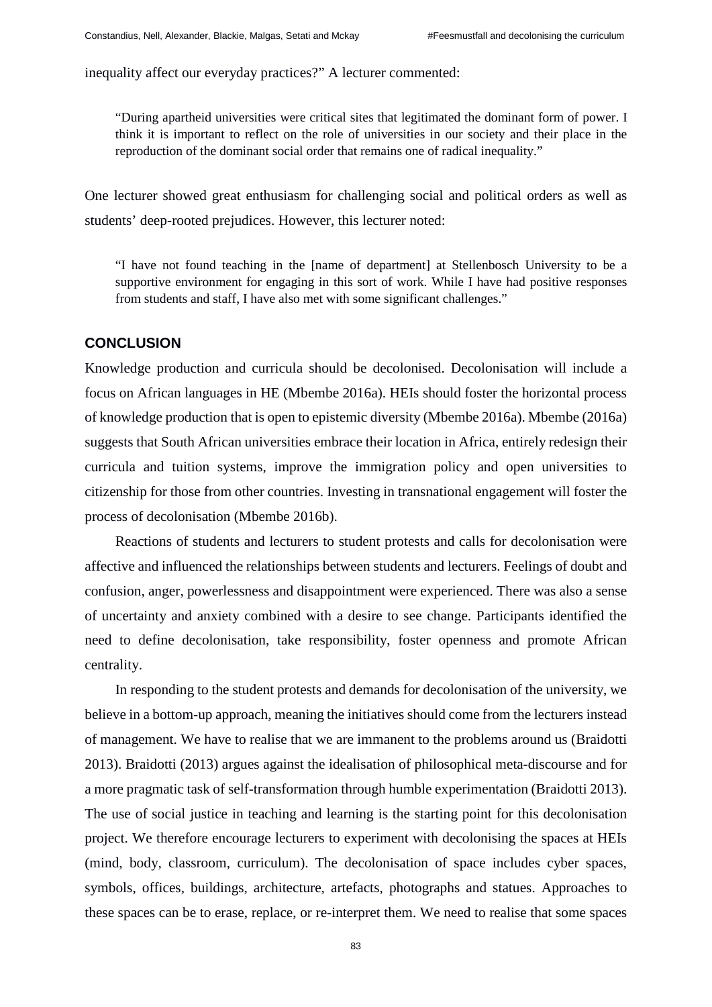inequality affect our everyday practices?" A lecturer commented:

"During apartheid universities were critical sites that legitimated the dominant form of power. I think it is important to reflect on the role of universities in our society and their place in the reproduction of the dominant social order that remains one of radical inequality."

One lecturer showed great enthusiasm for challenging social and political orders as well as students' deep-rooted prejudices. However, this lecturer noted:

"I have not found teaching in the [name of department] at Stellenbosch University to be a supportive environment for engaging in this sort of work. While I have had positive responses from students and staff, I have also met with some significant challenges."

## **CONCLUSION**

Knowledge production and curricula should be decolonised. Decolonisation will include a focus on African languages in HE (Mbembe 2016a). HEIs should foster the horizontal process of knowledge production that is open to epistemic diversity (Mbembe 2016a). Mbembe (2016a) suggests that South African universities embrace their location in Africa, entirely redesign their curricula and tuition systems, improve the immigration policy and open universities to citizenship for those from other countries. Investing in transnational engagement will foster the process of decolonisation (Mbembe 2016b).

Reactions of students and lecturers to student protests and calls for decolonisation were affective and influenced the relationships between students and lecturers. Feelings of doubt and confusion, anger, powerlessness and disappointment were experienced. There was also a sense of uncertainty and anxiety combined with a desire to see change. Participants identified the need to define decolonisation, take responsibility, foster openness and promote African centrality.

In responding to the student protests and demands for decolonisation of the university, we believe in a bottom-up approach, meaning the initiatives should come from the lecturers instead of management. We have to realise that we are immanent to the problems around us (Braidotti 2013). Braidotti (2013) argues against the idealisation of philosophical meta-discourse and for a more pragmatic task of self-transformation through humble experimentation (Braidotti 2013). The use of social justice in teaching and learning is the starting point for this decolonisation project. We therefore encourage lecturers to experiment with decolonising the spaces at HEIs (mind, body, classroom, curriculum). The decolonisation of space includes cyber spaces, symbols, offices, buildings, architecture, artefacts, photographs and statues. Approaches to these spaces can be to erase, replace, or re-interpret them. We need to realise that some spaces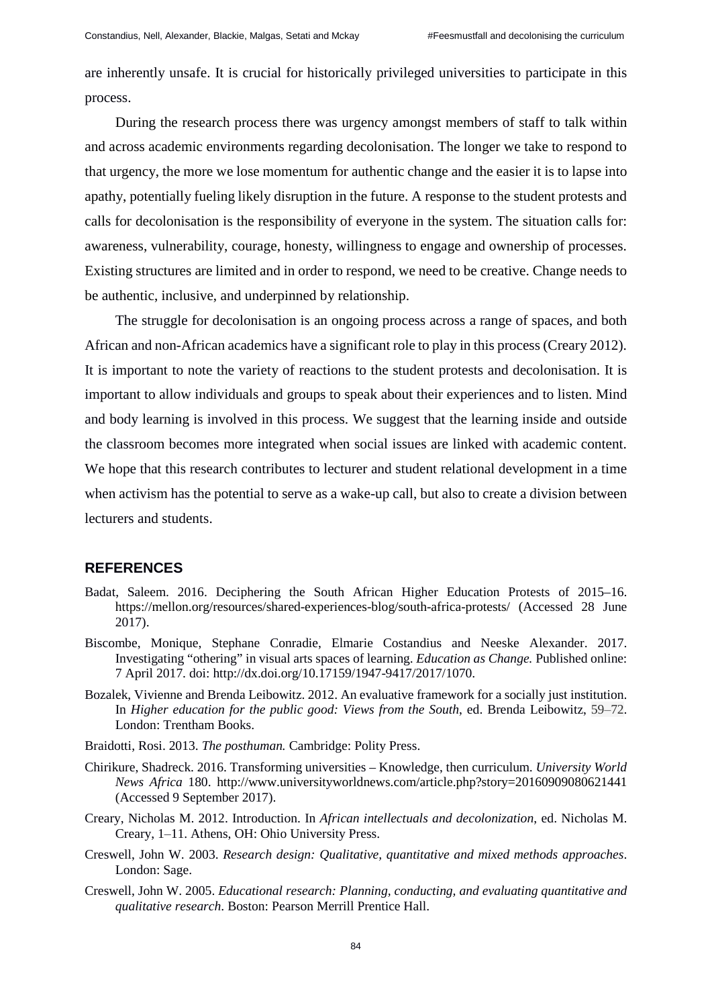are inherently unsafe. It is crucial for historically privileged universities to participate in this process.

During the research process there was urgency amongst members of staff to talk within and across academic environments regarding decolonisation. The longer we take to respond to that urgency, the more we lose momentum for authentic change and the easier it is to lapse into apathy, potentially fueling likely disruption in the future. A response to the student protests and calls for decolonisation is the responsibility of everyone in the system. The situation calls for: awareness, vulnerability, courage, honesty, willingness to engage and ownership of processes. Existing structures are limited and in order to respond, we need to be creative. Change needs to be authentic, inclusive, and underpinned by relationship.

The struggle for decolonisation is an ongoing process across a range of spaces, and both African and non-African academics have a significant role to play in this process (Creary 2012). It is important to note the variety of reactions to the student protests and decolonisation. It is important to allow individuals and groups to speak about their experiences and to listen. Mind and body learning is involved in this process. We suggest that the learning inside and outside the classroom becomes more integrated when social issues are linked with academic content. We hope that this research contributes to lecturer and student relational development in a time when activism has the potential to serve as a wake-up call, but also to create a division between lecturers and students.

#### **REFERENCES**

- Badat, Saleem. 2016. Deciphering the South African Higher Education Protests of 2015–16. https://mellon.org/resources/shared-experiences-blog/south-africa-protests/ (Accessed 28 June 2017).
- Biscombe, Monique, Stephane Conradie, Elmarie Costandius and Neeske Alexander. 2017. Investigating "othering" in visual arts spaces of learning. *Education as Change.* Published online: 7 April 2017. doi: http://dx.doi.org/10.17159/1947-9417/2017/1070.
- Bozalek, Vivienne and Brenda Leibowitz. 2012. An evaluative framework for a socially just institution. In *Higher education for the public good: Views from the South*, ed. Brenda Leibowitz, 59–72. London: Trentham Books.
- Braidotti, Rosi. 2013. *The posthuman.* Cambridge: Polity Press.
- Chirikure, Shadreck. 2016. Transforming universities Knowledge, then curriculum. *University World News Africa* 180. http://www.universityworldnews.com/article.php?story=20160909080621441 (Accessed 9 September 2017).
- Creary, Nicholas M. 2012. Introduction. In *African intellectuals and decolonization*, ed. Nicholas M. Creary, 1-11. Athens, OH: Ohio University Press.
- Creswell, John W. 2003. *Research design: Qualitative, quantitative and mixed methods approaches*. London: Sage.
- Creswell, John W. 2005. *Educational research: Planning, conducting, and evaluating quantitative and qualitative research*. Boston: Pearson Merrill Prentice Hall.